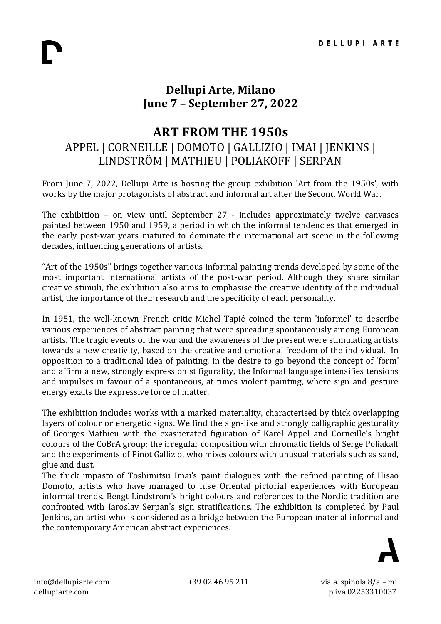## **Dellupi Arte, Milano June 7 – September 27, 2022**

## **ART FROM THE 1950s**

## APPEL | CORNEILLE | DOMOTO | GALLIZIO | IMAI | JENKINS | LINDSTRÖM | MATHIEU | POLIAKOFF | SERPAN

From June 7, 2022, Dellupi Arte is hosting the group exhibition 'Art from the 1950s', with works by the major protagonists of abstract and informal art after the Second World War.

The exhibition – on view until September 27 - includes approximately twelve canvases painted between 1950 and 1959, a period in which the informal tendencies that emerged in the early post-war years matured to dominate the international art scene in the following decades, influencing generations of artists.

"Art of the 1950s" brings together various informal painting trends developed by some of the most important international artists of the post-war period. Although they share similar creative stimuli, the exhibition also aims to emphasise the creative identity of the individual artist, the importance of their research and the specificity of each personality.

In 1951, the well-known French critic Michel Tapié coined the term 'informel' to describe various experiences of abstract painting that were spreading spontaneously among European artists. The tragic events of the war and the awareness of the present were stimulating artists towards a new creativity, based on the creative and emotional freedom of the individual. In opposition to a traditional idea of painting, in the desire to go beyond the concept of 'form' and affirm a new, strongly expressionist figurality, the Informal language intensifies tensions and impulses in favour of a spontaneous, at times violent painting, where sign and gesture energy exalts the expressive force of matter.

The exhibition includes works with a marked materiality, characterised by thick overlapping layers of colour or energetic signs. We find the sign-like and strongly calligraphic gesturality of Georges Mathieu with the exasperated figuration of Karel Appel and Corneille's bright colours of the CoBrA group; the irregular composition with chromatic fields of Serge Poliakaff and the experiments of Pinot Gallizio, who mixes colours with unusual materials such as sand, glue and dust.

The thick impasto of Toshimitsu Imai's paint dialogues with the refined painting of Hisao Domoto, artists who have managed to fuse Oriental pictorial experiences with European informal trends. Bengt Lindstrom's bright colours and references to the Nordic tradition are confronted with Iaroslav Serpan's sign stratifications. The exhibition is completed by Paul Jenkins, an artist who is considered as a bridge between the European material informal and the contemporary American abstract experiences.